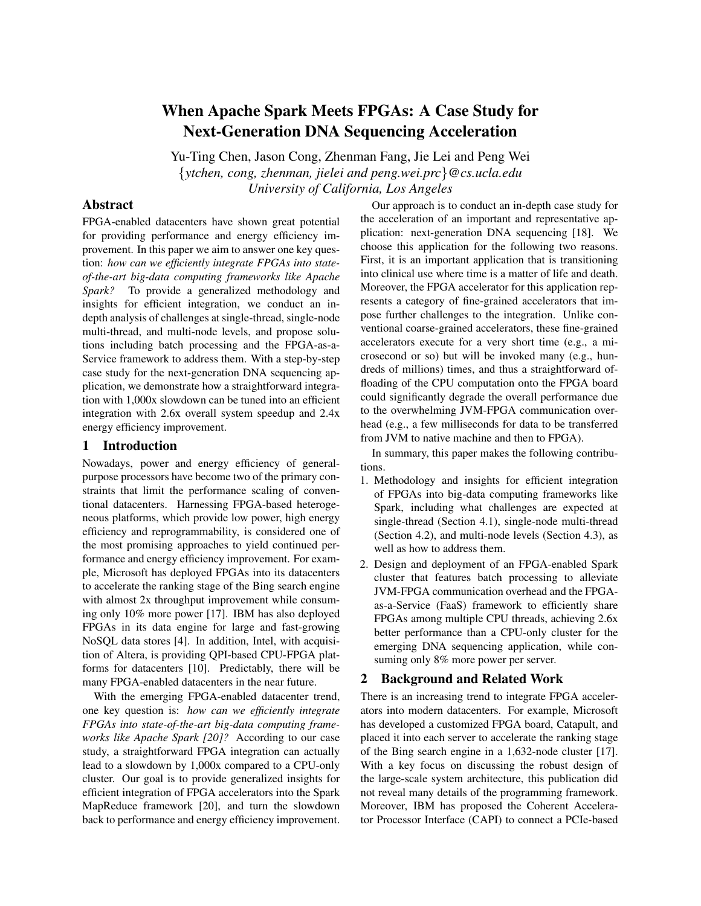# When Apache Spark Meets FPGAs: A Case Study for Next-Generation DNA Sequencing Acceleration

Yu-Ting Chen, Jason Cong, Zhenman Fang, Jie Lei and Peng Wei {*ytchen, cong, zhenman, jielei and peng.wei.prc*}*@cs.ucla.edu University of California, Los Angeles*

# Abstract

FPGA-enabled datacenters have shown great potential for providing performance and energy efficiency improvement. In this paper we aim to answer one key question: *how can we efficiently integrate FPGAs into stateof-the-art big-data computing frameworks like Apache Spark?* To provide a generalized methodology and insights for efficient integration, we conduct an indepth analysis of challenges at single-thread, single-node multi-thread, and multi-node levels, and propose solutions including batch processing and the FPGA-as-a-Service framework to address them. With a step-by-step case study for the next-generation DNA sequencing application, we demonstrate how a straightforward integration with 1,000x slowdown can be tuned into an efficient integration with 2.6x overall system speedup and 2.4x energy efficiency improvement.

# 1 Introduction

Nowadays, power and energy efficiency of generalpurpose processors have become two of the primary constraints that limit the performance scaling of conventional datacenters. Harnessing FPGA-based heterogeneous platforms, which provide low power, high energy efficiency and reprogrammability, is considered one of the most promising approaches to yield continued performance and energy efficiency improvement. For example, Microsoft has deployed FPGAs into its datacenters to accelerate the ranking stage of the Bing search engine with almost 2x throughput improvement while consuming only 10% more power [17]. IBM has also deployed FPGAs in its data engine for large and fast-growing NoSQL data stores [4]. In addition, Intel, with acquisition of Altera, is providing QPI-based CPU-FPGA platforms for datacenters [10]. Predictably, there will be many FPGA-enabled datacenters in the near future.

With the emerging FPGA-enabled datacenter trend, one key question is: *how can we efficiently integrate FPGAs into state-of-the-art big-data computing frameworks like Apache Spark [20]?* According to our case study, a straightforward FPGA integration can actually lead to a slowdown by 1,000x compared to a CPU-only cluster. Our goal is to provide generalized insights for efficient integration of FPGA accelerators into the Spark MapReduce framework [20], and turn the slowdown back to performance and energy efficiency improvement.

Our approach is to conduct an in-depth case study for the acceleration of an important and representative application: next-generation DNA sequencing [18]. We choose this application for the following two reasons. First, it is an important application that is transitioning into clinical use where time is a matter of life and death. Moreover, the FPGA accelerator for this application represents a category of fine-grained accelerators that impose further challenges to the integration. Unlike conventional coarse-grained accelerators, these fine-grained accelerators execute for a very short time (e.g., a microsecond or so) but will be invoked many (e.g., hundreds of millions) times, and thus a straightforward offloading of the CPU computation onto the FPGA board could significantly degrade the overall performance due to the overwhelming JVM-FPGA communication overhead (e.g., a few milliseconds for data to be transferred from JVM to native machine and then to FPGA).

In summary, this paper makes the following contributions.

- 1. Methodology and insights for efficient integration of FPGAs into big-data computing frameworks like Spark, including what challenges are expected at single-thread (Section 4.1), single-node multi-thread (Section 4.2), and multi-node levels (Section 4.3), as well as how to address them.
- 2. Design and deployment of an FPGA-enabled Spark cluster that features batch processing to alleviate JVM-FPGA communication overhead and the FPGAas-a-Service (FaaS) framework to efficiently share FPGAs among multiple CPU threads, achieving 2.6x better performance than a CPU-only cluster for the emerging DNA sequencing application, while consuming only 8% more power per server.

# 2 Background and Related Work

There is an increasing trend to integrate FPGA accelerators into modern datacenters. For example, Microsoft has developed a customized FPGA board, Catapult, and placed it into each server to accelerate the ranking stage of the Bing search engine in a 1,632-node cluster [17]. With a key focus on discussing the robust design of the large-scale system architecture, this publication did not reveal many details of the programming framework. Moreover, IBM has proposed the Coherent Accelerator Processor Interface (CAPI) to connect a PCIe-based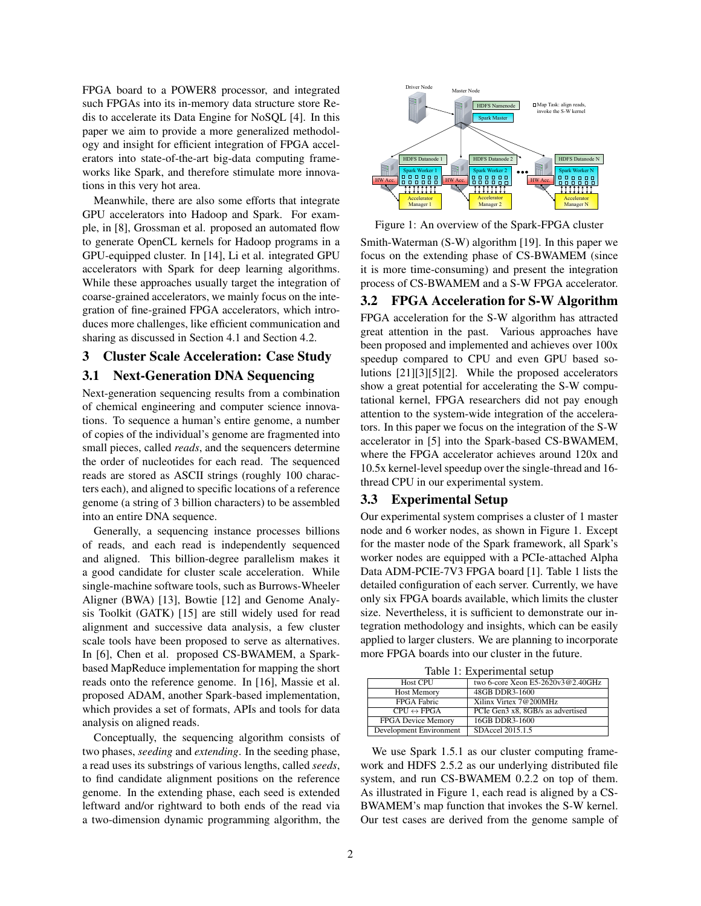FPGA board to a POWER8 processor, and integrated such FPGAs into its in-memory data structure store Redis to accelerate its Data Engine for NoSQL [4]. In this paper we aim to provide a more generalized methodology and insight for efficient integration of FPGA accelerators into state-of-the-art big-data computing frameworks like Spark, and therefore stimulate more innovations in this very hot area.

Meanwhile, there are also some efforts that integrate GPU accelerators into Hadoop and Spark. For example, in [8], Grossman et al. proposed an automated flow to generate OpenCL kernels for Hadoop programs in a GPU-equipped cluster. In [14], Li et al. integrated GPU accelerators with Spark for deep learning algorithms. While these approaches usually target the integration of coarse-grained accelerators, we mainly focus on the integration of fine-grained FPGA accelerators, which introduces more challenges, like efficient communication and sharing as discussed in Section 4.1 and Section 4.2.

### 3 Cluster Scale Acceleration: Case Study

### 3.1 Next-Generation DNA Sequencing

Next-generation sequencing results from a combination of chemical engineering and computer science innovations. To sequence a human's entire genome, a number of copies of the individual's genome are fragmented into small pieces, called *reads*, and the sequencers determine the order of nucleotides for each read. The sequenced reads are stored as ASCII strings (roughly 100 characters each), and aligned to specific locations of a reference genome (a string of 3 billion characters) to be assembled into an entire DNA sequence.

Generally, a sequencing instance processes billions of reads, and each read is independently sequenced and aligned. This billion-degree parallelism makes it a good candidate for cluster scale acceleration. While single-machine software tools, such as Burrows-Wheeler Aligner (BWA) [13], Bowtie [12] and Genome Analysis Toolkit (GATK) [15] are still widely used for read alignment and successive data analysis, a few cluster scale tools have been proposed to serve as alternatives. In [6], Chen et al. proposed CS-BWAMEM, a Sparkbased MapReduce implementation for mapping the short reads onto the reference genome. In [16], Massie et al. proposed ADAM, another Spark-based implementation, which provides a set of formats, APIs and tools for data analysis on aligned reads.

Conceptually, the sequencing algorithm consists of two phases, *seeding* and *extending*. In the seeding phase, a read uses its substrings of various lengths, called *seeds*, to find candidate alignment positions on the reference genome. In the extending phase, each seed is extended leftward and/or rightward to both ends of the read via a two-dimension dynamic programming algorithm, the



Figure 1: An overview of the Spark-FPGA cluster

Smith-Waterman (S-W) algorithm [19]. In this paper we focus on the extending phase of CS-BWAMEM (since it is more time-consuming) and present the integration process of CS-BWAMEM and a S-W FPGA accelerator.

### 3.2 FPGA Acceleration for S-W Algorithm

FPGA acceleration for the S-W algorithm has attracted great attention in the past. Various approaches have been proposed and implemented and achieves over 100x speedup compared to CPU and even GPU based solutions [21][3][5][2]. While the proposed accelerators show a great potential for accelerating the S-W computational kernel, FPGA researchers did not pay enough attention to the system-wide integration of the accelerators. In this paper we focus on the integration of the S-W accelerator in [5] into the Spark-based CS-BWAMEM, where the FPGA accelerator achieves around 120x and 10.5x kernel-level speedup over the single-thread and 16 thread CPU in our experimental system.

### 3.3 Experimental Setup

Our experimental system comprises a cluster of 1 master node and 6 worker nodes, as shown in Figure 1. Except for the master node of the Spark framework, all Spark's worker nodes are equipped with a PCIe-attached Alpha Data ADM-PCIE-7V3 FPGA board [1]. Table 1 lists the detailed configuration of each server. Currently, we have only six FPGA boards available, which limits the cluster size. Nevertheless, it is sufficient to demonstrate our integration methodology and insights, which can be easily applied to larger clusters. We are planning to incorporate more FPGA boards into our cluster in the future.

Table 1: Experimental setup

| raore 1. Experimental setup |                                   |
|-----------------------------|-----------------------------------|
| <b>Host CPU</b>             | two 6-core Xeon E5-2620v3@2.40GHz |
| <b>Host Memory</b>          | 48GB DDR3-1600                    |
| FPGA Fabric                 | Xilinx Virtex 7@200MHz            |
| $CPU \leftrightarrow FPGA$  | PCIe Gen3 x8, 8GB/s as advertised |
| <b>FPGA Device Memory</b>   | 16GB DDR3-1600                    |
| Development Environment     | SDAccel 2015.1.5                  |

We use Spark 1.5.1 as our cluster computing framework and HDFS 2.5.2 as our underlying distributed file system, and run CS-BWAMEM 0.2.2 on top of them. As illustrated in Figure 1, each read is aligned by a CS-BWAMEM's map function that invokes the S-W kernel. Our test cases are derived from the genome sample of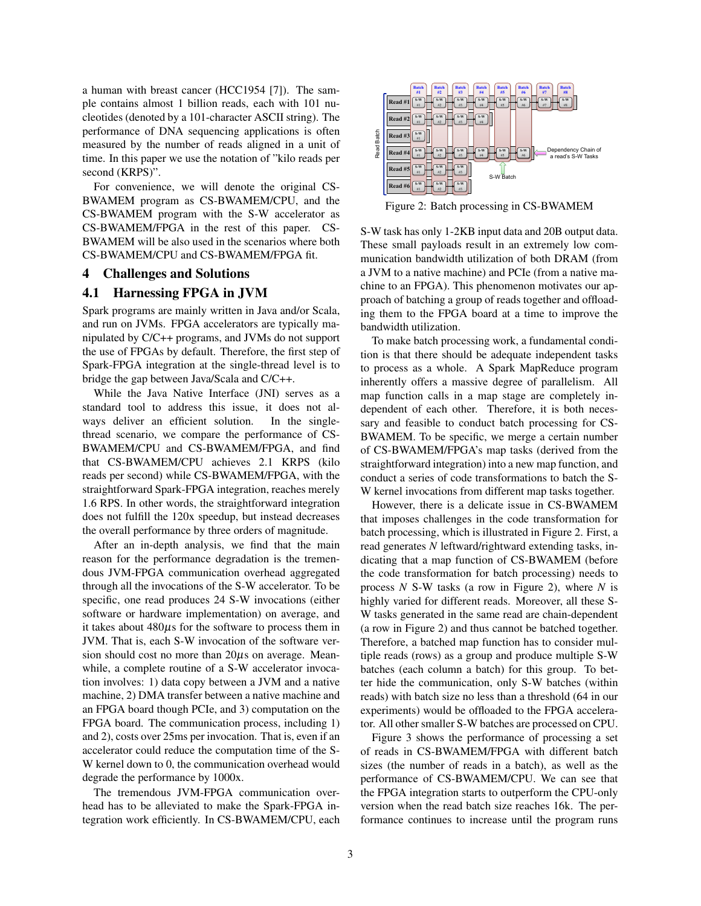a human with breast cancer (HCC1954 [7]). The sample contains almost 1 billion reads, each with 101 nucleotides (denoted by a 101-character ASCII string). The performance of DNA sequencing applications is often measured by the number of reads aligned in a unit of time. In this paper we use the notation of "kilo reads per second (KRPS)".

For convenience, we will denote the original CS-BWAMEM program as CS-BWAMEM/CPU, and the CS-BWAMEM program with the S-W accelerator as CS-BWAMEM/FPGA in the rest of this paper. CS-BWAMEM will be also used in the scenarios where both CS-BWAMEM/CPU and CS-BWAMEM/FPGA fit.

#### 4 Challenges and Solutions

### 4.1 Harnessing FPGA in JVM

Spark programs are mainly written in Java and/or Scala, and run on JVMs. FPGA accelerators are typically manipulated by C/C++ programs, and JVMs do not support the use of FPGAs by default. Therefore, the first step of Spark-FPGA integration at the single-thread level is to bridge the gap between Java/Scala and C/C++.

While the Java Native Interface (JNI) serves as a standard tool to address this issue, it does not always deliver an efficient solution. In the singlethread scenario, we compare the performance of CS-BWAMEM/CPU and CS-BWAMEM/FPGA, and find that CS-BWAMEM/CPU achieves 2.1 KRPS (kilo reads per second) while CS-BWAMEM/FPGA, with the straightforward Spark-FPGA integration, reaches merely 1.6 RPS. In other words, the straightforward integration does not fulfill the 120x speedup, but instead decreases the overall performance by three orders of magnitude.

After an in-depth analysis, we find that the main reason for the performance degradation is the tremendous JVM-FPGA communication overhead aggregated through all the invocations of the S-W accelerator. To be specific, one read produces 24 S-W invocations (either software or hardware implementation) on average, and it takes about  $480\mu s$  for the software to process them in JVM. That is, each S-W invocation of the software version should cost no more than  $20\mu s$  on average. Meanwhile, a complete routine of a S-W accelerator invocation involves: 1) data copy between a JVM and a native machine, 2) DMA transfer between a native machine and an FPGA board though PCIe, and 3) computation on the FPGA board. The communication process, including 1) and 2), costs over 25ms per invocation. That is, even if an accelerator could reduce the computation time of the S-W kernel down to 0, the communication overhead would degrade the performance by 1000x.

The tremendous JVM-FPGA communication overhead has to be alleviated to make the Spark-FPGA integration work efficiently. In CS-BWAMEM/CPU, each



Figure 2: Batch processing in CS-BWAMEM

S-W task has only 1-2KB input data and 20B output data. These small payloads result in an extremely low communication bandwidth utilization of both DRAM (from a JVM to a native machine) and PCIe (from a native machine to an FPGA). This phenomenon motivates our approach of batching a group of reads together and offloading them to the FPGA board at a time to improve the bandwidth utilization.

To make batch processing work, a fundamental condition is that there should be adequate independent tasks to process as a whole. A Spark MapReduce program inherently offers a massive degree of parallelism. All map function calls in a map stage are completely independent of each other. Therefore, it is both necessary and feasible to conduct batch processing for CS-BWAMEM. To be specific, we merge a certain number of CS-BWAMEM/FPGA's map tasks (derived from the straightforward integration) into a new map function, and conduct a series of code transformations to batch the S-W kernel invocations from different map tasks together.

However, there is a delicate issue in CS-BWAMEM that imposes challenges in the code transformation for batch processing, which is illustrated in Figure 2. First, a read generates *N* leftward/rightward extending tasks, indicating that a map function of CS-BWAMEM (before the code transformation for batch processing) needs to process *N* S-W tasks (a row in Figure 2), where *N* is highly varied for different reads. Moreover, all these S-W tasks generated in the same read are chain-dependent (a row in Figure 2) and thus cannot be batched together. Therefore, a batched map function has to consider multiple reads (rows) as a group and produce multiple S-W batches (each column a batch) for this group. To better hide the communication, only S-W batches (within reads) with batch size no less than a threshold (64 in our experiments) would be offloaded to the FPGA accelerator. All other smaller S-W batches are processed on CPU.

Figure 3 shows the performance of processing a set of reads in CS-BWAMEM/FPGA with different batch sizes (the number of reads in a batch), as well as the performance of CS-BWAMEM/CPU. We can see that the FPGA integration starts to outperform the CPU-only version when the read batch size reaches 16k. The performance continues to increase until the program runs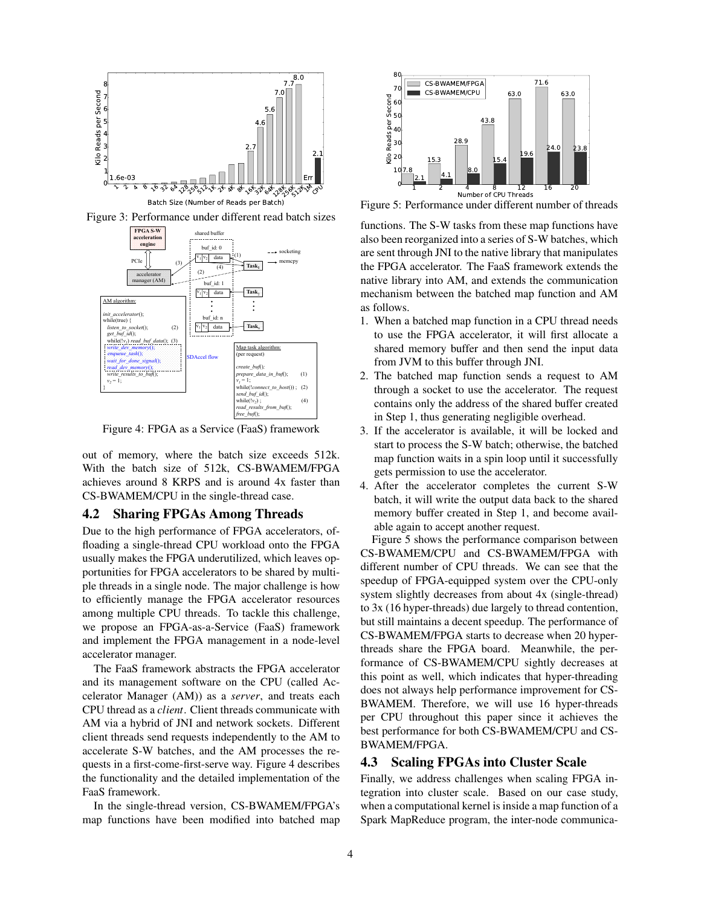

Figure 3: Performance under different read batch sizes



Figure 4: FPGA as a Service (FaaS) framework

out of memory, where the batch size exceeds 512k. With the batch size of 512k, CS-BWAMEM/FPGA achieves around 8 KRPS and is around 4x faster than CS-BWAMEM/CPU in the single-thread case.

#### 4.2 Sharing FPGAs Among Threads

Due to the high performance of FPGA accelerators, offloading a single-thread CPU workload onto the FPGA usually makes the FPGA underutilized, which leaves opportunities for FPGA accelerators to be shared by multiple threads in a single node. The major challenge is how to efficiently manage the FPGA accelerator resources among multiple CPU threads. To tackle this challenge, we propose an FPGA-as-a-Service (FaaS) framework and implement the FPGA management in a node-level accelerator manager.

The FaaS framework abstracts the FPGA accelerator and its management software on the CPU (called Accelerator Manager (AM)) as a *server*, and treats each CPU thread as a *client*. Client threads communicate with AM via a hybrid of JNI and network sockets. Different client threads send requests independently to the AM to accelerate S-W batches, and the AM processes the requests in a first-come-first-serve way. Figure 4 describes the functionality and the detailed implementation of the FaaS framework.

In the single-thread version, CS-BWAMEM/FPGA's map functions have been modified into batched map



Figure 5: Performance under different number of threads

functions. The S-W tasks from these map functions have also been reorganized into a series of S-W batches, which are sent through JNI to the native library that manipulates the FPGA accelerator. The FaaS framework extends the native library into AM, and extends the communication mechanism between the batched map function and AM as follows.

- 1. When a batched map function in a CPU thread needs to use the FPGA accelerator, it will first allocate a shared memory buffer and then send the input data from JVM to this buffer through JNI.
- 2. The batched map function sends a request to AM through a socket to use the accelerator. The request contains only the address of the shared buffer created in Step 1, thus generating negligible overhead.
- 3. If the accelerator is available, it will be locked and start to process the S-W batch; otherwise, the batched map function waits in a spin loop until it successfully gets permission to use the accelerator.
- 4. After the accelerator completes the current S-W batch, it will write the output data back to the shared memory buffer created in Step 1, and become available again to accept another request.

Figure 5 shows the performance comparison between CS-BWAMEM/CPU and CS-BWAMEM/FPGA with different number of CPU threads. We can see that the speedup of FPGA-equipped system over the CPU-only system slightly decreases from about 4x (single-thread) to 3x (16 hyper-threads) due largely to thread contention, but still maintains a decent speedup. The performance of CS-BWAMEM/FPGA starts to decrease when 20 hyperthreads share the FPGA board. Meanwhile, the performance of CS-BWAMEM/CPU sightly decreases at this point as well, which indicates that hyper-threading does not always help performance improvement for CS-BWAMEM. Therefore, we will use 16 hyper-threads per CPU throughout this paper since it achieves the best performance for both CS-BWAMEM/CPU and CS-BWAMEM/FPGA.

## 4.3 Scaling FPGAs into Cluster Scale

Finally, we address challenges when scaling FPGA integration into cluster scale. Based on our case study, when a computational kernel is inside a map function of a Spark MapReduce program, the inter-node communica-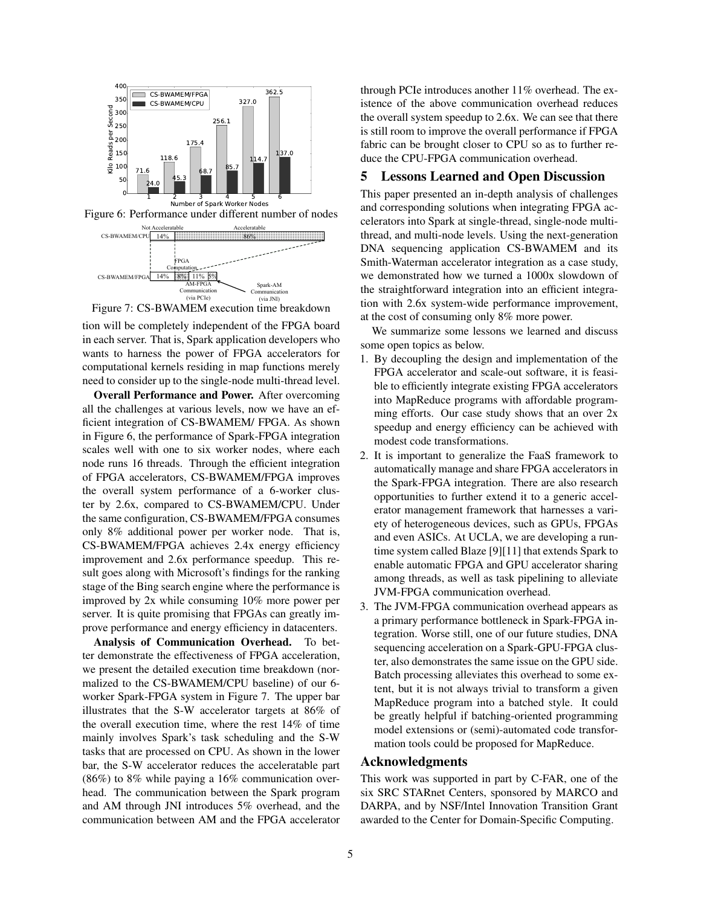

Figure 6: Performance under different number of nodes



Figure 7: CS-BWAMEM execution time breakdown

tion will be completely independent of the FPGA board in each server. That is, Spark application developers who wants to harness the power of FPGA accelerators for computational kernels residing in map functions merely need to consider up to the single-node multi-thread level.

Overall Performance and Power. After overcoming all the challenges at various levels, now we have an efficient integration of CS-BWAMEM/ FPGA. As shown in Figure 6, the performance of Spark-FPGA integration scales well with one to six worker nodes, where each node runs 16 threads. Through the efficient integration of FPGA accelerators, CS-BWAMEM/FPGA improves the overall system performance of a 6-worker cluster by 2.6x, compared to CS-BWAMEM/CPU. Under the same configuration, CS-BWAMEM/FPGA consumes only 8% additional power per worker node. That is, CS-BWAMEM/FPGA achieves 2.4x energy efficiency improvement and 2.6x performance speedup. This result goes along with Microsoft's findings for the ranking stage of the Bing search engine where the performance is improved by 2x while consuming 10% more power per server. It is quite promising that FPGAs can greatly improve performance and energy efficiency in datacenters.

Analysis of Communication Overhead. To better demonstrate the effectiveness of FPGA acceleration, we present the detailed execution time breakdown (normalized to the CS-BWAMEM/CPU baseline) of our 6 worker Spark-FPGA system in Figure 7. The upper bar illustrates that the S-W accelerator targets at 86% of the overall execution time, where the rest 14% of time mainly involves Spark's task scheduling and the S-W tasks that are processed on CPU. As shown in the lower bar, the S-W accelerator reduces the acceleratable part (86%) to 8% while paying a 16% communication overhead. The communication between the Spark program and AM through JNI introduces 5% overhead, and the communication between AM and the FPGA accelerator through PCIe introduces another 11% overhead. The existence of the above communication overhead reduces the overall system speedup to 2.6x. We can see that there is still room to improve the overall performance if FPGA fabric can be brought closer to CPU so as to further reduce the CPU-FPGA communication overhead.

# 5 Lessons Learned and Open Discussion

This paper presented an in-depth analysis of challenges and corresponding solutions when integrating FPGA accelerators into Spark at single-thread, single-node multithread, and multi-node levels. Using the next-generation DNA sequencing application CS-BWAMEM and its Smith-Waterman accelerator integration as a case study, we demonstrated how we turned a 1000x slowdown of the straightforward integration into an efficient integration with 2.6x system-wide performance improvement, at the cost of consuming only 8% more power.

We summarize some lessons we learned and discuss some open topics as below.

- 1. By decoupling the design and implementation of the FPGA accelerator and scale-out software, it is feasible to efficiently integrate existing FPGA accelerators into MapReduce programs with affordable programming efforts. Our case study shows that an over 2x speedup and energy efficiency can be achieved with modest code transformations.
- 2. It is important to generalize the FaaS framework to automatically manage and share FPGA accelerators in the Spark-FPGA integration. There are also research opportunities to further extend it to a generic accelerator management framework that harnesses a variety of heterogeneous devices, such as GPUs, FPGAs and even ASICs. At UCLA, we are developing a runtime system called Blaze [9][11] that extends Spark to enable automatic FPGA and GPU accelerator sharing among threads, as well as task pipelining to alleviate JVM-FPGA communication overhead.
- 3. The JVM-FPGA communication overhead appears as a primary performance bottleneck in Spark-FPGA integration. Worse still, one of our future studies, DNA sequencing acceleration on a Spark-GPU-FPGA cluster, also demonstrates the same issue on the GPU side. Batch processing alleviates this overhead to some extent, but it is not always trivial to transform a given MapReduce program into a batched style. It could be greatly helpful if batching-oriented programming model extensions or (semi)-automated code transformation tools could be proposed for MapReduce.

# Acknowledgments

This work was supported in part by C-FAR, one of the six SRC STARnet Centers, sponsored by MARCO and DARPA, and by NSF/Intel Innovation Transition Grant awarded to the Center for Domain-Specific Computing.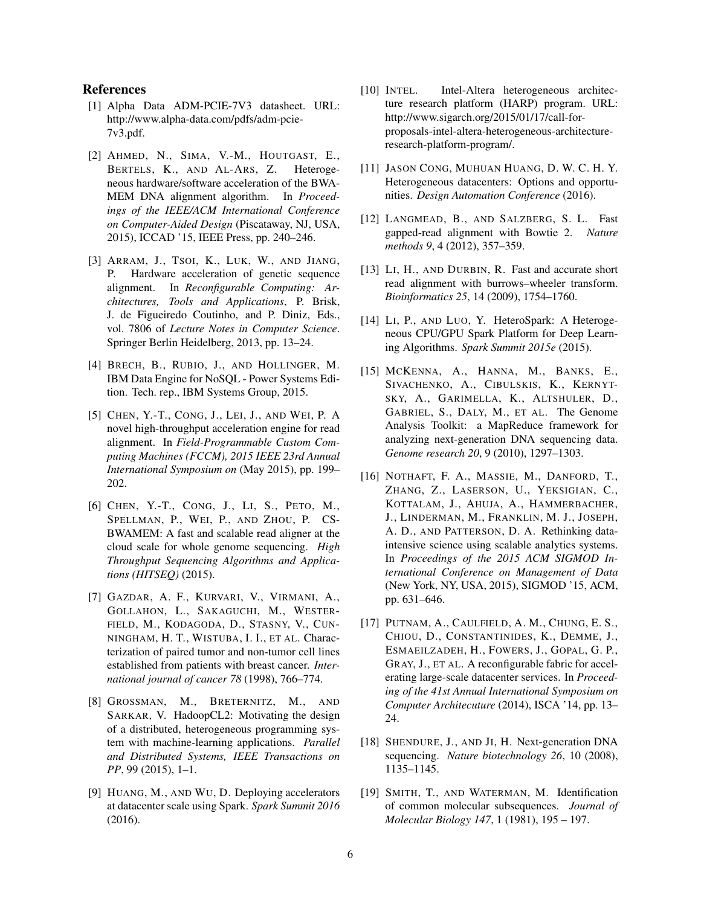### References

- [1] Alpha Data ADM-PCIE-7V3 datasheet. URL: http://www.alpha-data.com/pdfs/adm-pcie-7v3.pdf.
- [2] AHMED, N., SIMA, V.-M., HOUTGAST, E., BERTELS, K., AND AL-ARS, Z. Heterogeneous hardware/software acceleration of the BWA-MEM DNA alignment algorithm. In *Proceedings of the IEEE/ACM International Conference on Computer-Aided Design* (Piscataway, NJ, USA, 2015), ICCAD '15, IEEE Press, pp. 240–246.
- [3] ARRAM, J., TSOI, K., LUK, W., AND JIANG, P. Hardware acceleration of genetic sequence alignment. In *Reconfigurable Computing: Architectures, Tools and Applications*, P. Brisk, J. de Figueiredo Coutinho, and P. Diniz, Eds., vol. 7806 of *Lecture Notes in Computer Science*. Springer Berlin Heidelberg, 2013, pp. 13–24.
- [4] BRECH, B., RUBIO, J., AND HOLLINGER, M. IBM Data Engine for NoSQL - Power Systems Edition. Tech. rep., IBM Systems Group, 2015.
- [5] CHEN, Y.-T., CONG, J., LEI, J., AND WEI, P. A novel high-throughput acceleration engine for read alignment. In *Field-Programmable Custom Computing Machines (FCCM), 2015 IEEE 23rd Annual International Symposium on* (May 2015), pp. 199– 202.
- [6] CHEN, Y.-T., CONG, J., LI, S., PETO, M., SPELLMAN, P., WEI, P., AND ZHOU, P. CS-BWAMEM: A fast and scalable read aligner at the cloud scale for whole genome sequencing. *High Throughput Sequencing Algorithms and Applications (HITSEQ)* (2015).
- [7] GAZDAR, A. F., KURVARI, V., VIRMANI, A., GOLLAHON, L., SAKAGUCHI, M., WESTER-FIELD, M., KODAGODA, D., STASNY, V., CUN-NINGHAM, H. T., WISTUBA, I. I., ET AL. Characterization of paired tumor and non-tumor cell lines established from patients with breast cancer. *International journal of cancer 78* (1998), 766–774.
- [8] GROSSMAN, M., BRETERNITZ, M., AND SARKAR, V. HadoopCL2: Motivating the design of a distributed, heterogeneous programming system with machine-learning applications. *Parallel and Distributed Systems, IEEE Transactions on PP*, 99 (2015), 1–1.
- [9] HUANG, M., AND WU, D. Deploying accelerators at datacenter scale using Spark. *Spark Summit 2016* (2016).
- [10] INTEL. Intel-Altera heterogeneous architecture research platform (HARP) program. URL: http://www.sigarch.org/2015/01/17/call-forproposals-intel-altera-heterogeneous-architectureresearch-platform-program/.
- [11] JASON CONG, MUHUAN HUANG, D. W. C. H. Y. Heterogeneous datacenters: Options and opportunities. *Design Automation Conference* (2016).
- [12] LANGMEAD, B., AND SALZBERG, S. L. Fast gapped-read alignment with Bowtie 2. *Nature methods 9*, 4 (2012), 357–359.
- [13] LI, H., AND DURBIN, R. Fast and accurate short read alignment with burrows–wheeler transform. *Bioinformatics 25*, 14 (2009), 1754–1760.
- [14] LI, P., AND LUO, Y. HeteroSpark: A Heterogeneous CPU/GPU Spark Platform for Deep Learning Algorithms. *Spark Summit 2015e* (2015).
- [15] MCKENNA, A., HANNA, M., BANKS, E., SIVACHENKO, A., CIBULSKIS, K., KERNYT-SKY, A., GARIMELLA, K., ALTSHULER, D., GABRIEL, S., DALY, M., ET AL. The Genome Analysis Toolkit: a MapReduce framework for analyzing next-generation DNA sequencing data. *Genome research 20*, 9 (2010), 1297–1303.
- [16] NOTHAFT, F. A., MASSIE, M., DANFORD, T., ZHANG, Z., LASERSON, U., YEKSIGIAN, C., KOTTALAM, J., AHUJA, A., HAMMERBACHER, J., LINDERMAN, M., FRANKLIN, M. J., JOSEPH, A. D., AND PATTERSON, D. A. Rethinking dataintensive science using scalable analytics systems. In *Proceedings of the 2015 ACM SIGMOD International Conference on Management of Data* (New York, NY, USA, 2015), SIGMOD '15, ACM, pp. 631–646.
- [17] PUTNAM, A., CAULFIELD, A. M., CHUNG, E. S., CHIOU, D., CONSTANTINIDES, K., DEMME, J., ESMAEILZADEH, H., FOWERS, J., GOPAL, G. P., GRAY, J., ET AL. A reconfigurable fabric for accelerating large-scale datacenter services. In *Proceeding of the 41st Annual International Symposium on Computer Architecuture* (2014), ISCA '14, pp. 13– 24.
- [18] SHENDURE, J., AND JI, H. Next-generation DNA sequencing. *Nature biotechnology 26*, 10 (2008), 1135–1145.
- [19] SMITH, T., AND WATERMAN, M. Identification of common molecular subsequences. *Journal of Molecular Biology 147*, 1 (1981), 195 – 197.